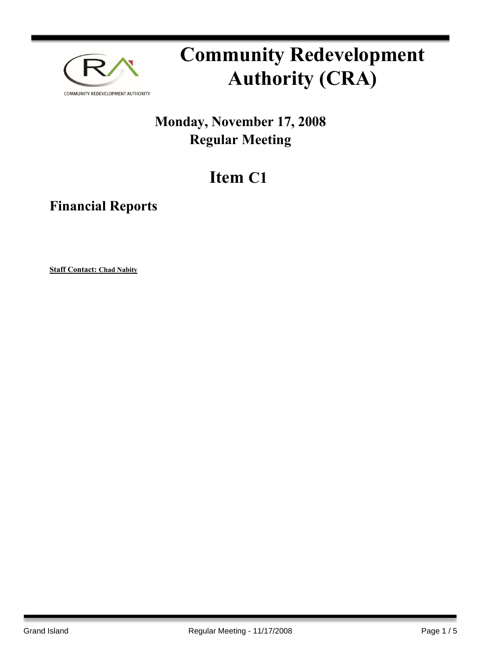

# **Community Redevelopment Authority (CRA)**

### **Monday, November 17, 2008 Regular Meeting**

## **Item C1**

**Financial Reports**

**Staff Contact: Chad Nabity**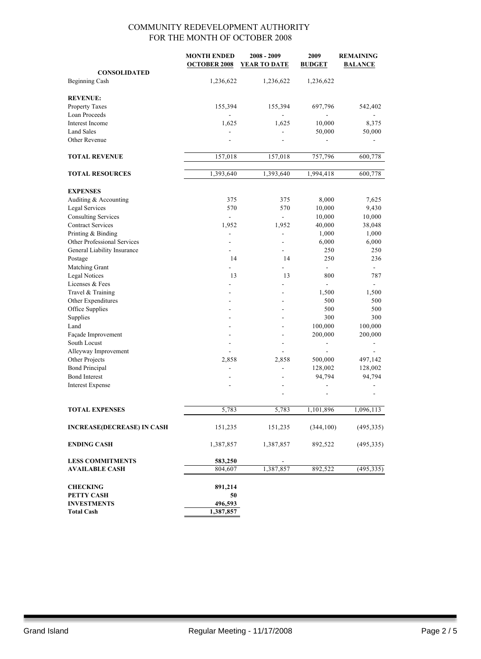|                                   | <b>MONTH ENDED</b>       | $2008 - 2009$       | 2009           | <b>REMAINING</b> |
|-----------------------------------|--------------------------|---------------------|----------------|------------------|
|                                   | <b>OCTOBER 2008</b>      | <b>YEAR TO DATE</b> | <b>BUDGET</b>  | <b>BALANCE</b>   |
| <b>CONSOLIDATED</b>               |                          |                     |                |                  |
| <b>Beginning Cash</b>             | 1,236,622                | 1,236,622           | 1,236,622      |                  |
| <b>REVENUE:</b>                   |                          |                     |                |                  |
| Property Taxes                    | 155,394                  | 155,394             | 697,796        | 542,402          |
| Loan Proceeds                     |                          |                     |                |                  |
| Interest Income                   | 1,625                    | 1,625               | 10,000         | 8,375            |
| <b>Land Sales</b>                 |                          |                     | 50,000         | 50,000           |
| Other Revenue                     |                          |                     |                |                  |
| <b>TOTAL REVENUE</b>              | 157,018                  | 157,018             | 757,796        | 600,778          |
|                                   |                          |                     |                |                  |
| <b>TOTAL RESOURCES</b>            | 1,393,640                | 1,393,640           | 1,994,418      | 600,778          |
| <b>EXPENSES</b>                   |                          |                     |                |                  |
| Auditing & Accounting             | 375                      | 375                 | 8,000          | 7,625            |
| <b>Legal Services</b>             | 570                      | 570                 | 10,000         | 9,430            |
| <b>Consulting Services</b>        | $\overline{\phantom{a}}$ | $\overline{a}$      | 10,000         | 10,000           |
| <b>Contract Services</b>          | 1,952                    | 1,952               | 40,000         | 38,048           |
| Printing & Binding                | $\overline{a}$           | $\overline{a}$      | 1,000          | 1,000            |
| Other Professional Services       |                          | -                   | 6,000          | 6,000            |
| General Liability Insurance       |                          | -                   | 250            | 250              |
| Postage                           | 14                       | 14                  | 250            | 236              |
| Matching Grant                    |                          |                     | $\blacksquare$ |                  |
| <b>Legal Notices</b>              | 13                       | 13                  | 800            | 787              |
| Licenses & Fees                   |                          |                     |                |                  |
| Travel & Training                 |                          |                     | 1,500          | 1,500            |
| Other Expenditures                |                          |                     | 500            | 500              |
| Office Supplies                   |                          | $\blacksquare$      | 500            | 500              |
| Supplies                          |                          |                     | 300            | 300              |
| Land                              |                          |                     | 100,000        | 100,000          |
| Façade Improvement                |                          | $\overline{a}$      | 200,000        | 200,000          |
| South Locust                      | $\overline{a}$           | $\overline{a}$      | $\overline{a}$ |                  |
| Alleyway Improvement              | ÷.                       | ÷.                  |                |                  |
| Other Projects                    | 2,858                    | 2,858               | 500,000        | 497,142          |
| <b>Bond Principal</b>             | $\overline{\phantom{a}}$ | L,                  | 128,002        | 128,002          |
| <b>Bond Interest</b>              |                          |                     | 94,794         | 94,794           |
| <b>Interest Expense</b>           |                          |                     |                |                  |
|                                   |                          |                     |                |                  |
| <b>TOTAL EXPENSES</b>             | 5,783                    | 5,783               | 1,101,896      | 1,096,113        |
| <b>INCREASE(DECREASE) IN CASH</b> | 151,235                  | 151,235             | (344, 100)     | (495, 335)       |
| <b>ENDING CASH</b>                | 1,387,857                | 1,387,857           | 892,522        | (495, 335)       |
| <b>LESS COMMITMENTS</b>           | 583,250                  |                     |                |                  |
| <b>AVAILABLE CASH</b>             | 804,607                  | 1,387,857           | 892,522        | (495, 335)       |
|                                   |                          |                     |                |                  |
| <b>CHECKING</b>                   | 891,214                  |                     |                |                  |
| PETTY CASH                        | 50                       |                     |                |                  |
| <b>INVESTMENTS</b>                | 496,593                  |                     |                |                  |
| <b>Total Cash</b>                 | 1,387,857                |                     |                |                  |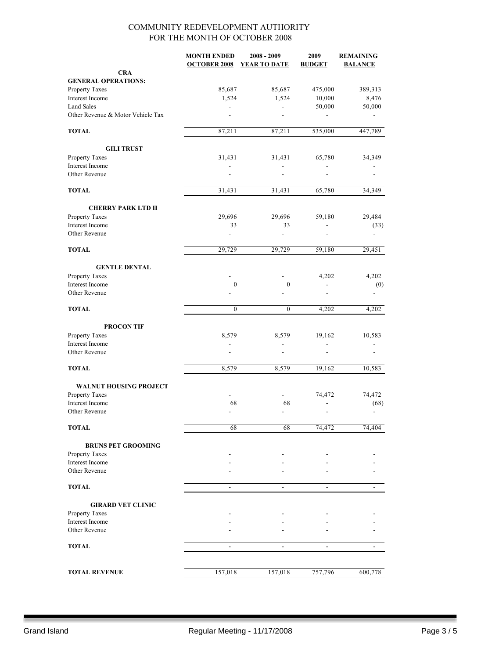|                                   | <b>MONTH ENDED</b><br><b>OCTOBER 2008</b> | $2008 - 2009$<br><b>YEAR TO DATE</b> | 2009<br><b>BUDGET</b>    | <b>REMAINING</b><br><b>BALANCE</b> |
|-----------------------------------|-------------------------------------------|--------------------------------------|--------------------------|------------------------------------|
| <b>CRA</b>                        |                                           |                                      |                          |                                    |
| <b>GENERAL OPERATIONS:</b>        |                                           |                                      |                          |                                    |
| Property Taxes                    | 85,687                                    | 85,687                               | 475,000                  | 389,313                            |
| Interest Income                   | 1,524                                     | 1,524                                | 10,000                   | 8,476                              |
| <b>Land Sales</b>                 |                                           |                                      | 50,000                   | 50,000                             |
| Other Revenue & Motor Vehicle Tax |                                           |                                      |                          |                                    |
| <b>TOTAL</b>                      | 87,211                                    | 87,211                               | 535,000                  | 447,789                            |
| <b>GILI TRUST</b>                 |                                           |                                      |                          |                                    |
| Property Taxes                    | 31,431                                    | 31,431                               | 65,780                   | 34,349                             |
| Interest Income                   |                                           |                                      |                          |                                    |
| Other Revenue                     |                                           |                                      |                          |                                    |
| <b>TOTAL</b>                      | 31,431                                    | 31,431                               | 65,780                   | 34,349                             |
| <b>CHERRY PARK LTD II</b>         |                                           |                                      |                          |                                    |
| Property Taxes                    | 29,696                                    | 29,696                               | 59,180                   | 29,484                             |
| Interest Income                   | 33                                        | 33                                   | ä,                       | (33)                               |
| Other Revenue                     |                                           | $\overline{a}$                       |                          | ä,                                 |
| <b>TOTAL</b>                      | 29,729                                    | 29,729                               | 59,180                   | 29,451                             |
| <b>GENTLE DENTAL</b>              |                                           |                                      |                          |                                    |
| Property Taxes                    |                                           |                                      | 4,202                    | 4,202                              |
| Interest Income                   | $\boldsymbol{0}$                          | $\boldsymbol{0}$                     |                          | (0)                                |
| Other Revenue                     |                                           |                                      |                          |                                    |
| <b>TOTAL</b>                      | $\mathbf{0}$                              | $\boldsymbol{0}$                     | 4,202                    | 4,202                              |
| <b>PROCON TIF</b>                 |                                           |                                      |                          |                                    |
| Property Taxes                    | 8,579                                     | 8,579                                | 19,162                   | 10,583                             |
| Interest Income                   |                                           |                                      | ä,                       |                                    |
| Other Revenue                     |                                           |                                      | $\overline{\phantom{a}}$ |                                    |
| <b>TOTAL</b>                      | 8,579                                     | 8,579                                | 19,162                   | 10,583                             |
| <b>WALNUT HOUSING PROJECT</b>     |                                           |                                      |                          |                                    |
| Property Taxes                    |                                           |                                      | 74,472                   | 74,472                             |
| Interest Income                   | 68                                        | 68                                   | $\overline{\phantom{a}}$ | (68)                               |
| Other Revenue                     |                                           |                                      |                          |                                    |
| <b>TOTAL</b>                      | 68                                        | 68                                   | 74,472                   | 74,404                             |
| <b>BRUNS PET GROOMING</b>         |                                           |                                      |                          |                                    |
| Property Taxes                    |                                           |                                      |                          |                                    |
| Interest Income                   |                                           |                                      |                          |                                    |
| Other Revenue                     |                                           |                                      |                          |                                    |
| <b>TOTAL</b>                      | $\overline{\phantom{a}}$                  | $\blacksquare$                       | $\overline{\phantom{a}}$ |                                    |
| <b>GIRARD VET CLINIC</b>          |                                           |                                      |                          |                                    |
| Property Taxes                    |                                           |                                      |                          |                                    |
| Interest Income                   |                                           |                                      |                          |                                    |
| Other Revenue                     |                                           |                                      |                          |                                    |
| <b>TOTAL</b>                      | $\blacksquare$                            | ÷.                                   | $\mathbf{r}$             | $\blacksquare$                     |
|                                   |                                           |                                      |                          |                                    |
| <b>TOTAL REVENUE</b>              | 157,018                                   | 157,018                              | 757,796                  | 600,778                            |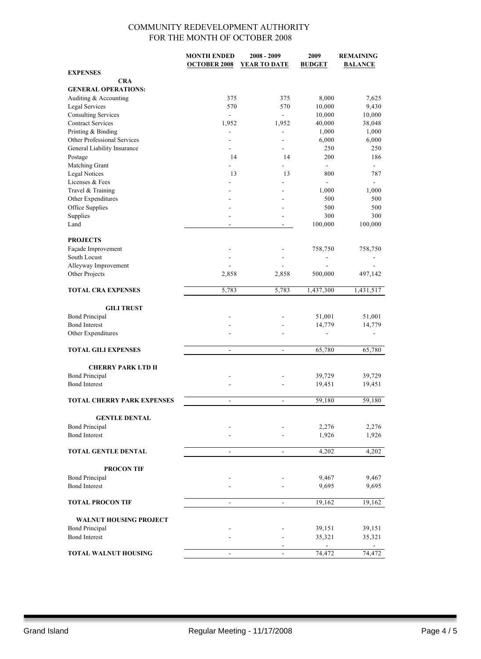|                                   | <b>MONTH ENDED</b>       | 2008 - 2009              | 2009           | <b>REMAINING</b>         |
|-----------------------------------|--------------------------|--------------------------|----------------|--------------------------|
|                                   | <b>OCTOBER 2008</b>      | YEAR TO DATE             | <b>BUDGET</b>  | <b>BALANCE</b>           |
| <b>EXPENSES</b>                   |                          |                          |                |                          |
| <b>CRA</b>                        |                          |                          |                |                          |
| <b>GENERAL OPERATIONS:</b>        |                          |                          |                |                          |
| Auditing & Accounting             | 375                      | 375                      | 8,000          | 7,625                    |
| Legal Services                    | 570                      | 570                      | 10,000         | 9,430                    |
| <b>Consulting Services</b>        | $\overline{\phantom{a}}$ | $\frac{1}{2}$            | 10,000         | 10,000                   |
| <b>Contract Services</b>          | 1,952                    | 1,952                    | 40,000         | 38,048                   |
| Printing & Binding                |                          | $\overline{\phantom{a}}$ | 1,000          | 1,000                    |
| Other Professional Services       |                          | $\sim$                   | 6,000          | 6,000                    |
| General Liability Insurance       |                          |                          | 250            | 250                      |
|                                   | 14                       | 14                       | 200            | 186                      |
| Postage                           |                          |                          | $\blacksquare$ | ÷.                       |
| Matching Grant                    |                          |                          |                |                          |
| <b>Legal Notices</b>              | 13                       | 13                       | 800            | 787                      |
| Licenses & Fees                   |                          |                          | $\blacksquare$ | $\blacksquare$           |
| Travel & Training                 |                          |                          | 1,000          | 1,000                    |
| Other Expenditures                |                          |                          | 500            | 500                      |
| Office Supplies                   |                          |                          | 500            | 500                      |
| Supplies                          |                          |                          | 300            | 300                      |
| Land                              | ä,                       | $\blacksquare$           | 100,000        | 100,000                  |
|                                   |                          |                          |                |                          |
| <b>PROJECTS</b>                   |                          |                          |                |                          |
| Façade Improvement                |                          |                          | 758,750        | 758,750                  |
| South Locust                      |                          |                          |                |                          |
| Alleyway Improvement              |                          |                          |                |                          |
| Other Projects                    | 2,858                    | 2,858                    | 500,000        | 497,142                  |
|                                   |                          |                          |                |                          |
| <b>TOTAL CRA EXPENSES</b>         | 5,783                    | 5,783                    | 1,437,300      | 1,431,517                |
|                                   |                          |                          |                |                          |
| <b>GILI TRUST</b>                 |                          |                          |                |                          |
| <b>Bond Principal</b>             |                          |                          | 51,001         | 51,001                   |
| <b>Bond Interest</b>              |                          |                          | 14,779         | 14,779                   |
| Other Expenditures                |                          |                          | ÷              | $\overline{\phantom{0}}$ |
|                                   |                          |                          |                |                          |
| <b>TOTAL GILI EXPENSES</b>        | $\overline{\phantom{a}}$ | $\blacksquare$           | 65,780         | 65,780                   |
|                                   |                          |                          |                |                          |
| <b>CHERRY PARK LTD II</b>         |                          |                          |                |                          |
|                                   |                          |                          |                |                          |
| <b>Bond Principal</b>             |                          |                          | 39,729         | 39,729                   |
| <b>Bond Interest</b>              |                          |                          | 19,451         | 19,451                   |
|                                   |                          |                          |                |                          |
| <b>TOTAL CHERRY PARK EXPENSES</b> | $\overline{\phantom{a}}$ | $\overline{a}$           | 59,180         | 59,180                   |
|                                   |                          |                          |                |                          |
| <b>GENTLE DENTAL</b>              |                          |                          |                |                          |
| <b>Bond Principal</b>             |                          |                          | 2,276          | 2,276                    |
| <b>Bond Interest</b>              |                          |                          | 1,926          | 1,926                    |
|                                   |                          |                          |                |                          |
| <b>TOTAL GENTLE DENTAL</b>        | $\overline{\phantom{a}}$ | $\overline{\phantom{a}}$ | 4,202          | 4,202                    |
|                                   |                          |                          |                |                          |
| <b>PROCON TIF</b>                 |                          |                          |                |                          |
| <b>Bond Principal</b>             |                          |                          | 9,467          | 9,467                    |
| <b>Bond Interest</b>              |                          |                          | 9,695          | 9,695                    |
|                                   |                          |                          |                |                          |
| <b>TOTAL PROCON TIF</b>           | $\frac{1}{2}$            | $\overline{\phantom{0}}$ | 19,162         | 19,162                   |
|                                   |                          |                          |                |                          |
| <b>WALNUT HOUSING PROJECT</b>     |                          |                          |                |                          |
| <b>Bond Principal</b>             |                          |                          | 39,151         | 39,151                   |
| <b>Bond Interest</b>              |                          |                          | 35,321         | 35,321                   |
|                                   |                          |                          |                |                          |
| <b>TOTAL WALNUT HOUSING</b>       | $\blacksquare$           |                          | 74,472         | 74,472                   |
|                                   |                          |                          |                |                          |